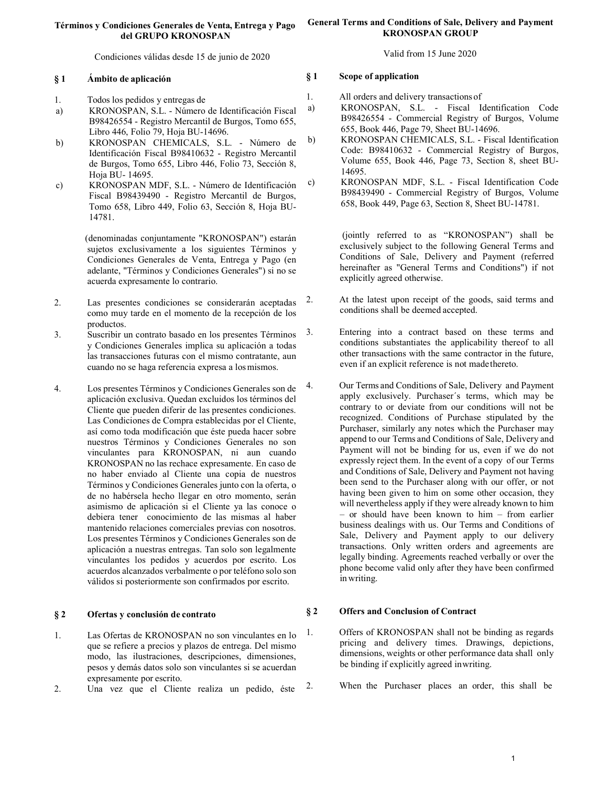## Términos y Condiciones Generales de Venta, Entrega y Pago del GRUPO KRONOSPAN

Condiciones válidas desde 15 de junio de 2020

## § 1 Ámbito de aplicación

- 1. Todos los pedidos y entregas de
- a) KRONOSPAN, S.L. Número de Identificación Fiscal B98426554 - Registro Mercantil de Burgos, Tomo 655, Libro 446, Folio 79, Hoja BU-14696.
- b) KRONOSPAN CHEMICALS, S.L. Número de Identificación Fiscal B98410632 - Registro Mercantil de Burgos, Tomo 655, Libro 446, Folio 73, Sección 8, Hoja BU- 14695.
- c) KRONOSPAN MDF, S.L. Número de Identificación Fiscal B98439490 - Registro Mercantil de Burgos, Tomo 658, Libro 449, Folio 63, Sección 8, Hoja BU-14781.

 (denominadas conjuntamente "KRONOSPAN") estarán sujetos exclusivamente a los siguientes Términos y Condiciones Generales de Venta, Entrega y Pago (en adelante, "Términos y Condiciones Generales") si no se acuerda expresamente lo contrario.

- 2. Las presentes condiciones se considerarán aceptadas como muy tarde en el momento de la recepción de los productos.
- 3. Suscribir un contrato basado en los presentes Términos y Condiciones Generales implica su aplicación a todas las transacciones futuras con el mismo contratante, aun cuando no se haga referencia expresa a los mismos.
- 4. Los presentes Términos y Condiciones Generales son de aplicación exclusiva. Quedan excluidos los términos del Cliente que pueden diferir de las presentes condiciones. Las Condiciones de Compra establecidas por el Cliente, así como toda modificación que éste pueda hacer sobre nuestros Términos y Condiciones Generales no son vinculantes para KRONOSPAN, ni aun cuando KRONOSPAN no las rechace expresamente. En caso de no haber enviado al Cliente una copia de nuestros Términos y Condiciones Generales junto con la oferta, o de no habérsela hecho llegar en otro momento, serán asimismo de aplicación si el Cliente ya las conoce o debiera tener conocimiento de las mismas al haber mantenido relaciones comerciales previas con nosotros. Los presentes Términos y Condiciones Generales son de aplicación a nuestras entregas. Tan solo son legalmente vinculantes los pedidos y acuerdos por escrito. Los acuerdos alcanzados verbalmente o por teléfono solo son válidos si posteriormente son confirmados por escrito.

# § 2 Ofertas y conclusión de contrato

- 1. Las Ofertas de KRONOSPAN no son vinculantes en lo que se refiere a precios y plazos de entrega. Del mismo modo, las ilustraciones, descripciones, dimensiones, pesos y demás datos solo son vinculantes si se acuerdan expresamente por escrito.
- 2. Una vez que el Cliente realiza un pedido, éste

## General Terms and Conditions of Sale, Delivery and Payment KRONOSPAN GROUP

Valid from 15 June 2020

# § 1 Scope of application

- 1. All orders and delivery transactions of
- a) KRONOSPAN, S.L. Fiscal Identification Code B98426554 - Commercial Registry of Burgos, Volume 655, Book 446, Page 79, Sheet BU-14696.
- b) KRONOSPAN CHEMICALS, S.L. Fiscal Identification Code: B98410632 - Commercial Registry of Burgos, Volume 655, Book 446, Page 73, Section 8, sheet BU-14695.
- c) KRONOSPAN MDF, S.L. Fiscal Identification Code B98439490 - Commercial Registry of Burgos, Volume 658, Book 449, Page 63, Section 8, Sheet BU-14781.

 (jointly referred to as "KRONOSPAN") shall be exclusively subject to the following General Terms and Conditions of Sale, Delivery and Payment (referred hereinafter as "General Terms and Conditions") if not explicitly agreed otherwise.

- 2. At the latest upon receipt of the goods, said terms and conditions shall be deemed accepted.
- 3. Entering into a contract based on these terms and conditions substantiates the applicability thereof to all other transactions with the same contractor in the future, even if an explicit reference is not made thereto.
- 4. Our Terms and Conditions of Sale, Delivery and Payment apply exclusively. Purchaser´s terms, which may be contrary to or deviate from our conditions will not be recognized. Conditions of Purchase stipulated by the Purchaser, similarly any notes which the Purchaser may append to our Terms and Conditions of Sale, Delivery and Payment will not be binding for us, even if we do not expressly reject them. In the event of a copy of our Terms and Conditions of Sale, Delivery and Payment not having been send to the Purchaser along with our offer, or not having been given to him on some other occasion, they will nevertheless apply if they were already known to him – or should have been known to him – from earlier business dealings with us. Our Terms and Conditions of Sale, Delivery and Payment apply to our delivery transactions. Only written orders and agreements are legally binding. Agreements reached verbally or over the phone become valid only after they have been confirmed in writing.

# § 2 Offers and Conclusion of Contract

- 1. Offers of KRONOSPAN shall not be binding as regards pricing and delivery times. Drawings, depictions, dimensions, weights or other performance data shall only be binding if explicitly agreed in writing.
- 2. When the Purchaser places an order, this shall be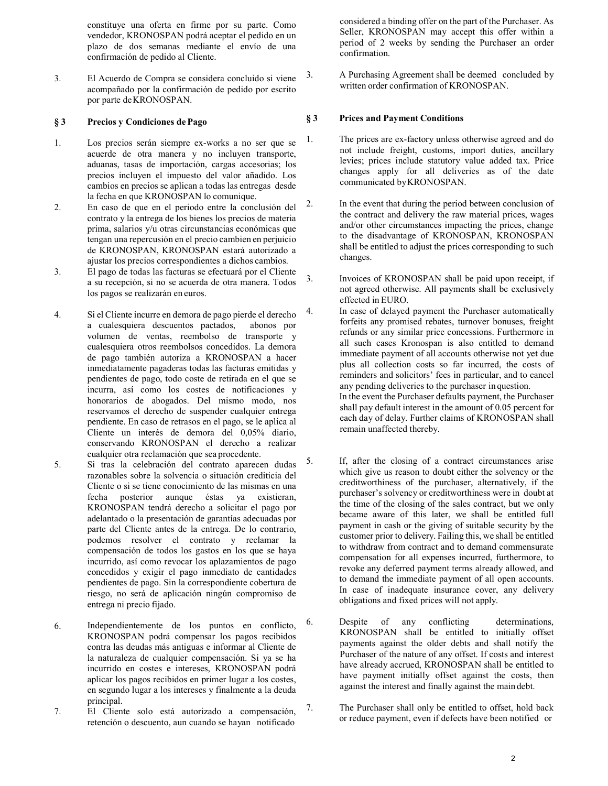constituye una oferta en firme por su parte. Como vendedor, KRONOSPAN podrá aceptar el pedido en un plazo de dos semanas mediante el envío de una confirmación de pedido al Cliente.

3. El Acuerdo de Compra se considera concluido si viene acompañado por la confirmación de pedido por escrito por parte de KRONOSPAN.

# § 3 Precios y Condiciones de Pago

- 1. Los precios serán siempre ex-works a no ser que se acuerde de otra manera y no incluyen transporte, aduanas, tasas de importación, cargas accesorias; los precios incluyen el impuesto del valor añadido. Los cambios en precios se aplican a todas las entregas desde la fecha en que KRONOSPAN lo comunique.
- 2. En caso de que en el periodo entre la conclusión del contrato y la entrega de los bienes los precios de materia prima, salarios y/u otras circunstancias económicas que tengan una repercusión en el precio cambien en perjuicio de KRONOSPAN, KRONOSPAN estará autorizado a ajustar los precios correspondientes a dichos cambios.
- 3. El pago de todas las facturas se efectuará por el Cliente a su recepción, si no se acuerda de otra manera. Todos los pagos se realizarán en euros.
- 4. Si el Cliente incurre en demora de pago pierde el derecho a cualesquiera descuentos pactados, abonos por volumen de ventas, reembolso de transporte y cualesquiera otros reembolsos concedidos. La demora de pago también autoriza a KRONOSPAN a hacer inmediatamente pagaderas todas las facturas emitidas y pendientes de pago, todo coste de retirada en el que se incurra, así como los costes de notificaciones y honorarios de abogados. Del mismo modo, nos reservamos el derecho de suspender cualquier entrega pendiente. En caso de retrasos en el pago, se le aplica al Cliente un interés de demora del 0,05% diario, conservando KRONOSPAN el derecho a realizar cualquier otra reclamación que sea procedente.
- 5. Si tras la celebración del contrato aparecen dudas razonables sobre la solvencia o situación crediticia del Cliente o si se tiene conocimiento de las mismas en una fecha posterior aunque éstas ya existieran, KRONOSPAN tendrá derecho a solicitar el pago por adelantado o la presentación de garantías adecuadas por parte del Cliente antes de la entrega. De lo contrario, podemos resolver el contrato y reclamar la compensación de todos los gastos en los que se haya incurrido, así como revocar los aplazamientos de pago concedidos y exigir el pago inmediato de cantidades pendientes de pago. Sin la correspondiente cobertura de riesgo, no será de aplicación ningún compromiso de entrega ni precio fijado.
- 6. Independientemente de los puntos en conflicto, KRONOSPAN podrá compensar los pagos recibidos contra las deudas más antiguas e informar al Cliente de la naturaleza de cualquier compensación. Si ya se ha incurrido en costes e intereses, KRONOSPAN podrá aplicar los pagos recibidos en primer lugar a los costes, en segundo lugar a los intereses y finalmente a la deuda principal.
- 7. El Cliente solo está autorizado a compensación, retención o descuento, aun cuando se hayan notificado

considered a binding offer on the part of the Purchaser. As Seller, KRONOSPAN may accept this offer within a period of 2 weeks by sending the Purchaser an order confirmation.

3. A Purchasing Agreement shall be deemed concluded by written order confirmation of KRONOSPAN.

# § 3 Prices and Payment Conditions

- 1. The prices are ex-factory unless otherwise agreed and do not include freight, customs, import duties, ancillary levies; prices include statutory value added tax. Price changes apply for all deliveries as of the date communicated by KRONOSPAN.
- 2. In the event that during the period between conclusion of the contract and delivery the raw material prices, wages and/or other circumstances impacting the prices, change to the disadvantage of KRONOSPAN, KRONOSPAN shall be entitled to adjust the prices corresponding to such changes.
- 3. Invoices of KRONOSPAN shall be paid upon receipt, if not agreed otherwise. All payments shall be exclusively effected in EURO.
- 4. In case of delayed payment the Purchaser automatically forfeits any promised rebates, turnover bonuses, freight refunds or any similar price concessions. Furthermore in all such cases Kronospan is also entitled to demand immediate payment of all accounts otherwise not yet due plus all collection costs so far incurred, the costs of reminders and solicitors' fees in particular, and to cancel any pending deliveries to the purchaser in question. In the event the Purchaser defaults payment, the Purchaser shall pay default interest in the amount of 0.05 percent for each day of delay. Further claims of KRONOSPAN shall remain unaffected thereby.
- 5. If, after the closing of a contract circumstances arise which give us reason to doubt either the solvency or the creditworthiness of the purchaser, alternatively, if the purchaser's solvency or creditworthiness were in doubt at the time of the closing of the sales contract, but we only became aware of this later, we shall be entitled full payment in cash or the giving of suitable security by the customer prior to delivery. Failing this, we shall be entitled to withdraw from contract and to demand commensurate compensation for all expenses incurred, furthermore, to revoke any deferred payment terms already allowed, and to demand the immediate payment of all open accounts. In case of inadequate insurance cover, any delivery obligations and fixed prices will not apply.
- 6. Despite of any conflicting determinations, KRONOSPAN shall be entitled to initially offset payments against the older debts and shall notify the Purchaser of the nature of any offset. If costs and interest have already accrued, KRONOSPAN shall be entitled to have payment initially offset against the costs, then against the interest and finally against the main debt.
- 7. The Purchaser shall only be entitled to offset, hold back or reduce payment, even if defects have been notified or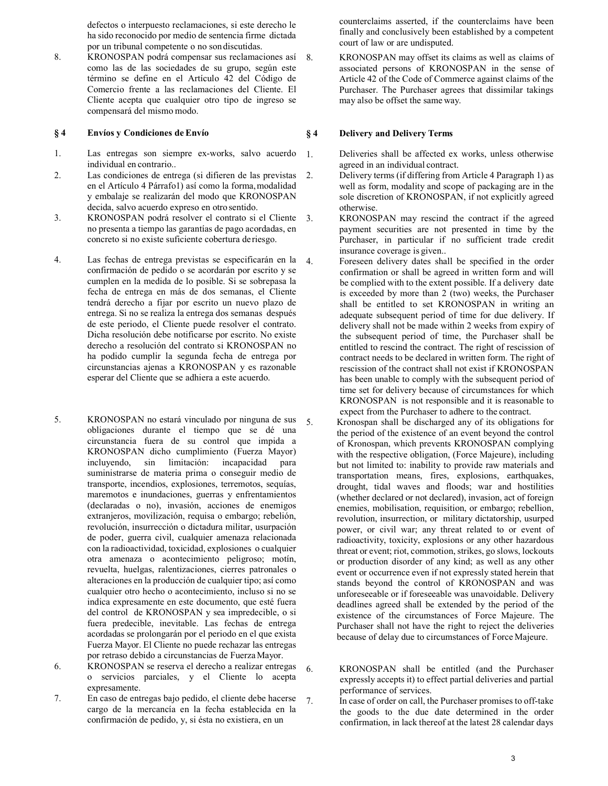defectos o interpuesto reclamaciones, si este derecho le ha sido reconocido por medio de sentencia firme dictada por un tribunal competente o no son discutidas.

8. KRONOSPAN podrá compensar sus reclamaciones así como las de las sociedades de su grupo, según este término se define en el Artículo 42 del Código de Comercio frente a las reclamaciones del Cliente. El Cliente acepta que cualquier otro tipo de ingreso se compensará del mismo modo.

## § 4 Envíos y Condiciones de Envío

- 1. Las entregas son siempre ex-works, salvo acuerdo individual en contrario..
- 2. Las condiciones de entrega (si difieren de las previstas en el Artículo 4 Párrafo1) así como la forma, modalidad y embalaje se realizarán del modo que KRONOSPAN decida, salvo acuerdo expreso en otro sentido.
- 3. KRONOSPAN podrá resolver el contrato si el Cliente no presenta a tiempo las garantías de pago acordadas, en concreto si no existe suficiente cobertura de riesgo.
- 4. Las fechas de entrega previstas se especificarán en la confirmación de pedido o se acordarán por escrito y se cumplen en la medida de lo posible. Si se sobrepasa la fecha de entrega en más de dos semanas, el Cliente tendrá derecho a fijar por escrito un nuevo plazo de entrega. Si no se realiza la entrega dos semanas después de este periodo, el Cliente puede resolver el contrato. Dicha resolución debe notificarse por escrito. No existe derecho a resolución del contrato si KRONOSPAN no ha podido cumplir la segunda fecha de entrega por circunstancias ajenas a KRONOSPAN y es razonable esperar del Cliente que se adhiera a este acuerdo.
- 5. KRONOSPAN no estará vinculado por ninguna de sus 5. obligaciones durante el tiempo que se dé una circunstancia fuera de su control que impida a KRONOSPAN dicho cumplimiento (Fuerza Mayor) incluyendo, sin limitación: incapacidad para suministrarse de materia prima o conseguir medio de transporte, incendios, explosiones, terremotos, sequías, maremotos e inundaciones, guerras y enfrentamientos (declaradas o no), invasión, acciones de enemigos extranjeros, movilización, requisa o embargo; rebelión, revolución, insurrección o dictadura militar, usurpación de poder, guerra civil, cualquier amenaza relacionada con la radioactividad, toxicidad, explosiones o cualquier otra amenaza o acontecimiento peligroso; motín, revuelta, huelgas, ralentizaciones, cierres patronales o alteraciones en la producción de cualquier tipo; así como cualquier otro hecho o acontecimiento, incluso si no se indica expresamente en este documento, que esté fuera del control de KRONOSPAN y sea impredecible, o si fuera predecible, inevitable. Las fechas de entrega acordadas se prolongarán por el periodo en el que exista Fuerza Mayor. El Cliente no puede rechazar las entregas por retraso debido a circunstancias de Fuerza Mayor.
- 6. KRONOSPAN se reserva el derecho a realizar entregas o servicios parciales, y el Cliente lo acepta expresamente.
- 7. En caso de entregas bajo pedido, el cliente debe hacerse cargo de la mercancía en la fecha establecida en la confirmación de pedido, y, si ésta no existiera, en un

counterclaims asserted, if the counterclaims have been finally and conclusively been established by a competent court of law or are undisputed.

8. KRONOSPAN may offset its claims as well as claims of associated persons of KRONOSPAN in the sense of Article 42 of the Code of Commerce against claims of the Purchaser. The Purchaser agrees that dissimilar takings may also be offset the same way.

# § 4 Delivery and Delivery Terms

- 1. Deliveries shall be affected ex works, unless otherwise agreed in an individual contract.
- 2. Delivery terms (if differing from Article 4 Paragraph 1) as well as form, modality and scope of packaging are in the sole discretion of KRONOSPAN, if not explicitly agreed otherwise.
- 3. KRONOSPAN may rescind the contract if the agreed payment securities are not presented in time by the Purchaser, in particular if no sufficient trade credit insurance coverage is given..
- 4. Foreseen delivery dates shall be specified in the order confirmation or shall be agreed in written form and will be complied with to the extent possible. If a delivery date is exceeded by more than 2 (two) weeks, the Purchaser shall be entitled to set KRONOSPAN in writing an adequate subsequent period of time for due delivery. If delivery shall not be made within 2 weeks from expiry of the subsequent period of time, the Purchaser shall be entitled to rescind the contract. The right of rescission of contract needs to be declared in written form. The right of rescission of the contract shall not exist if KRONOSPAN has been unable to comply with the subsequent period of time set for delivery because of circumstances for which KRONOSPAN is not responsible and it is reasonable to expect from the Purchaser to adhere to the contract.
	- 5. Kronospan shall be discharged any of its obligations for the period of the existence of an event beyond the control of Kronospan, which prevents KRONOSPAN complying with the respective obligation, (Force Majeure), including but not limited to: inability to provide raw materials and transportation means, fires, explosions, earthquakes, drought, tidal waves and floods; war and hostilities (whether declared or not declared), invasion, act of foreign enemies, mobilisation, requisition, or embargo; rebellion, revolution, insurrection, or military dictatorship, usurped power, or civil war; any threat related to or event of radioactivity, toxicity, explosions or any other hazardous threat or event; riot, commotion, strikes, go slows, lockouts or production disorder of any kind; as well as any other event or occurrence even if not expressly stated herein that stands beyond the control of KRONOSPAN and was unforeseeable or if foreseeable was unavoidable. Delivery deadlines agreed shall be extended by the period of the existence of the circumstances of Force Majeure. The Purchaser shall not have the right to reject the deliveries because of delay due to circumstances of Force Majeure.
- 6. KRONOSPAN shall be entitled (and the Purchaser expressly accepts it) to effect partial deliveries and partial performance of services.
- 7. In case of order on call, the Purchaser promises to off-take the goods to the due date determined in the order confirmation, in lack thereof at the latest 28 calendar days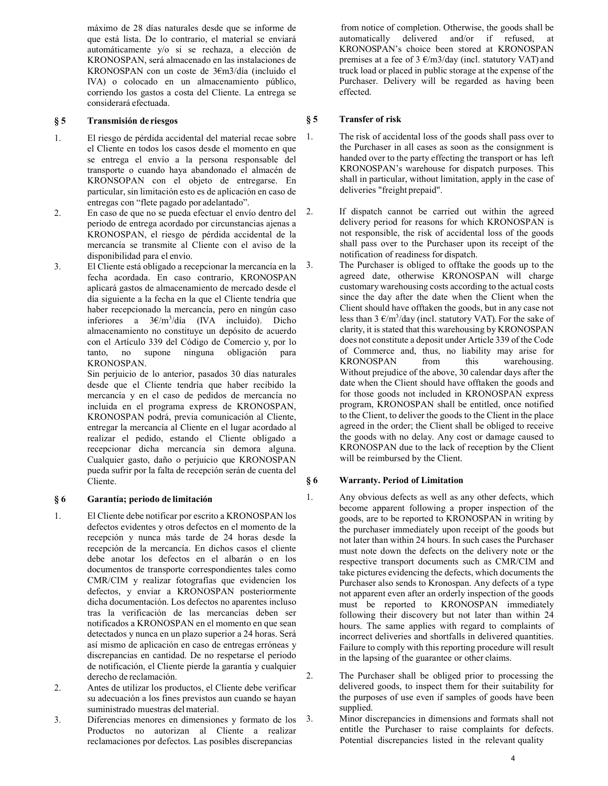máximo de 28 días naturales desde que se informe de que está lista. De lo contrario, el material se enviará automáticamente y/o si se rechaza, a elección de KRONOSPAN, será almacenado en las instalaciones de KRONOSPAN con un coste de 3€m3/día (incluido el IVA) o colocado en un almacenamiento público, corriendo los gastos a costa del Cliente. La entrega se considerará efectuada.

# § 5 Transmisión de riesgos

- 1. El riesgo de pérdida accidental del material recae sobre el Cliente en todos los casos desde el momento en que se entrega el envío a la persona responsable del transporte o cuando haya abandonado el almacén de KRONSOPAN con el objeto de entregarse. En particular, sin limitación esto es de aplicación en caso de entregas con "flete pagado por adelantado".
- 2. En caso de que no se pueda efectuar el envío dentro del periodo de entrega acordado por circunstancias ajenas a KRONOSPAN, el riesgo de pérdida accidental de la mercancía se transmite al Cliente con el aviso de la disponibilidad para el envío.
- 3. El Cliente está obligado a recepcionar la mercancía en la fecha acordada. En caso contrario, KRONOSPAN aplicará gastos de almacenamiento de mercado desde el día siguiente a la fecha en la que el Cliente tendría que haber recepcionado la mercancía, pero en ningún caso inferiores a 3€/m<sup>3</sup> /día (IVA incluido). Dicho almacenamiento no constituye un depósito de acuerdo con el Artículo 339 del Código de Comercio y, por lo tanto, no supone ninguna obligación para KRONOSPAN.

Sin perjuicio de lo anterior, pasados 30 días naturales desde que el Cliente tendría que haber recibido la mercancía y en el caso de pedidos de mercancía no incluida en el programa express de KRONOSPAN, KRONOSPAN podrá, previa comunicación al Cliente, entregar la mercancía al Cliente en el lugar acordado al realizar el pedido, estando el Cliente obligado a recepcionar dicha mercancía sin demora alguna. Cualquier gasto, daño o perjuicio que KRONOSPAN pueda sufrir por la falta de recepción serán de cuenta del Cliente.

# § 6 Garantía; periodo de limitación

- 1. El Cliente debe notificar por escrito a KRONOSPAN los defectos evidentes y otros defectos en el momento de la recepción y nunca más tarde de 24 horas desde la recepción de la mercancía. En dichos casos el cliente debe anotar los defectos en el albarán o en los documentos de transporte correspondientes tales como CMR/CIM y realizar fotografías que evidencien los defectos, y enviar a KRONOSPAN posteriormente dicha documentación. Los defectos no aparentes incluso tras la verificación de las mercancías deben ser notificados a KRONOSPAN en el momento en que sean detectados y nunca en un plazo superior a 24 horas. Será así mismo de aplicación en caso de entregas erróneas y discrepancias en cantidad. De no respetarse el periodo de notificación, el Cliente pierde la garantía y cualquier derecho de reclamación.
- 2. Antes de utilizar los productos, el Cliente debe verificar su adecuación a los fines previstos aun cuando se hayan suministrado muestras del material.
- 3. Diferencias menores en dimensiones y formato de los Productos no autorizan al Cliente a realizar reclamaciones por defectos. Las posibles discrepancias

from notice of completion. Otherwise, the goods shall be automatically delivered and/or if refused, at KRONOSPAN's choice been stored at KRONOSPAN premises at a fee of  $3 \text{ E/m}$ 3/day (incl. statutory VAT) and truck load or placed in public storage at the expense of the Purchaser. Delivery will be regarded as having been effected.

# § 5 Transfer of risk

1. The risk of accidental loss of the goods shall pass over to the Purchaser in all cases as soon as the consignment is handed over to the party effecting the transport or has left KRONOSPAN's warehouse for dispatch purposes. This shall in particular, without limitation, apply in the case of deliveries "freight prepaid".

If dispatch cannot be carried out within the agreed delivery period for reasons for which KRONOSPAN is not responsible, the risk of accidental loss of the goods shall pass over to the Purchaser upon its receipt of the notification of readiness for dispatch.

The Purchaser is obliged to offtake the goods up to the agreed date, otherwise KRONOSPAN will charge customary warehousing costs according to the actual costs since the day after the date when the Client when the Client should have offtaken the goods, but in any case not less than  $3 \frac{\epsilon}{m^3}$ /day (incl. statutory VAT). For the sake of clarity, it is stated that this warehousing by KRONOSPAN does not constitute a deposit under Article 339 of the Code of Commerce and, thus, no liability may arise for KRONOSPAN from this warehousing. Without prejudice of the above, 30 calendar days after the date when the Client should have offtaken the goods and for those goods not included in KRONOSPAN express program, KRONOSPAN shall be entitled, once notified to the Client, to deliver the goods to the Client in the place agreed in the order; the Client shall be obliged to receive the goods with no delay. Any cost or damage caused to KRONOSPAN due to the lack of reception by the Client will be reimbursed by the Client.

# § 6 Warranty. Period of Limitation

1. Any obvious defects as well as any other defects, which become apparent following a proper inspection of the goods, are to be reported to KRONOSPAN in writing by the purchaser immediately upon receipt of the goods but not later than within 24 hours. In such cases the Purchaser must note down the defects on the delivery note or the respective transport documents such as CMR/CIM and take pictures evidencing the defects, which documents the Purchaser also sends to Kronospan. Any defects of a type not apparent even after an orderly inspection of the goods must be reported to KRONOSPAN immediately following their discovery but not later than within 24 hours. The same applies with regard to complaints of incorrect deliveries and shortfalls in delivered quantities. Failure to comply with this reporting procedure will result in the lapsing of the guarantee or other claims.

- 2. The Purchaser shall be obliged prior to processing the delivered goods, to inspect them for their suitability for the purposes of use even if samples of goods have been supplied.
- 3. Minor discrepancies in dimensions and formats shall not entitle the Purchaser to raise complaints for defects. Potential discrepancies listed in the relevant quality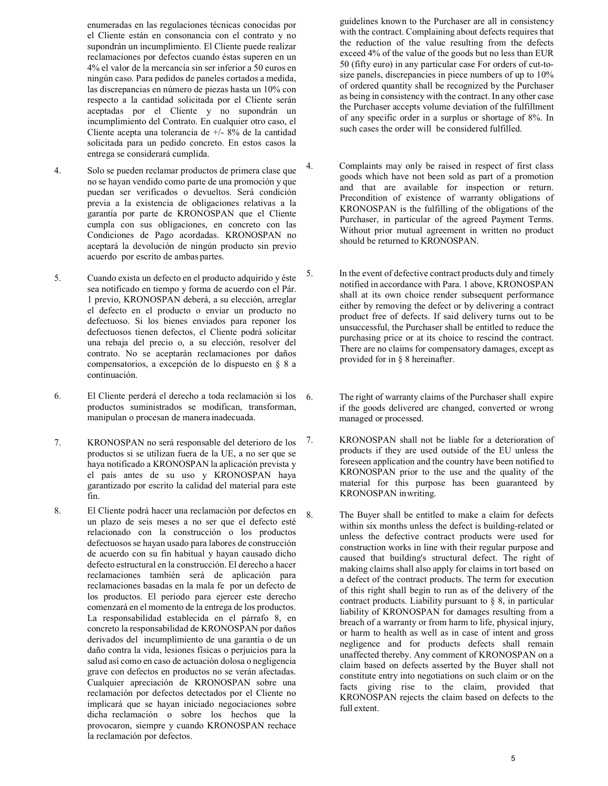enumeradas en las regulaciones técnicas conocidas por el Cliente están en consonancia con el contrato y no supondrán un incumplimiento. El Cliente puede realizar reclamaciones por defectos cuando éstas superen en un 4% el valor de la mercancía sin ser inferior a 50 euros en ningún caso. Para pedidos de paneles cortados a medida, las discrepancias en número de piezas hasta un 10% con respecto a la cantidad solicitada por el Cliente serán aceptadas por el Cliente y no supondrán un incumplimiento del Contrato. En cualquier otro caso, el Cliente acepta una tolerancia de +/- 8% de la cantidad solicitada para un pedido concreto. En estos casos la entrega se considerará cumplida.

- 4. Solo se pueden reclamar productos de primera clase que no se hayan vendido como parte de una promoción y que puedan ser verificados o devueltos. Será condición previa a la existencia de obligaciones relativas a la garantía por parte de KRONOSPAN que el Cliente cumpla con sus obligaciones, en concreto con las Condiciones de Pago acordadas. KRONOSPAN no aceptará la devolución de ningún producto sin previo acuerdo por escrito de ambas partes.
- 5. Cuando exista un defecto en el producto adquirido y éste sea notificado en tiempo y forma de acuerdo con el Pár. 1 previo, KRONOSPAN deberá, a su elección, arreglar el defecto en el producto o enviar un producto no defectuoso. Si los bienes enviados para reponer los defectuosos tienen defectos, el Cliente podrá solicitar una rebaja del precio o, a su elección, resolver del contrato. No se aceptarán reclamaciones por daños compensatorios, a excepción de lo dispuesto en § 8 a continuación.
- 6. El Cliente perderá el derecho a toda reclamación si los productos suministrados se modifican, transforman, manipulan o procesan de manera inadecuada.
- 7. KRONOSPAN no será responsable del deterioro de los productos si se utilizan fuera de la UE, a no ser que se haya notificado a KRONOSPAN la aplicación prevista y el país antes de su uso y KRONOSPAN haya garantizado por escrito la calidad del material para este fin.
- 8. El Cliente podrá hacer una reclamación por defectos en un plazo de seis meses a no ser que el defecto esté relacionado con la construcción o los productos defectuosos se hayan usado para labores de construcción de acuerdo con su fin habitual y hayan causado dicho defecto estructural en la construcción. El derecho a hacer reclamaciones también será de aplicación para reclamaciones basadas en la mala fe por un defecto de los productos. El periodo para ejercer este derecho comenzará en el momento de la entrega de los productos. La responsabilidad establecida en el párrafo 8, en concreto la responsabilidad de KRONOSPAN por daños derivados del incumplimiento de una garantía o de un daño contra la vida, lesiones físicas o perjuicios para la salud así como en caso de actuación dolosa o negligencia grave con defectos en productos no se verán afectadas. Cualquier apreciación de KRONOSPAN sobre una reclamación por defectos detectados por el Cliente no implicará que se hayan iniciado negociaciones sobre dicha reclamación o sobre los hechos que la provocaron, siempre y cuando KRONOSPAN rechace la reclamación por defectos.

guidelines known to the Purchaser are all in consistency with the contract. Complaining about defects requires that the reduction of the value resulting from the defects exceed 4% of the value of the goods but no less than EUR 50 (fifty euro) in any particular case For orders of cut-tosize panels, discrepancies in piece numbers of up to 10% of ordered quantity shall be recognized by the Purchaser as being in consistency with the contract. In any other case the Purchaser accepts volume deviation of the fulfillment of any specific order in a surplus or shortage of 8%. In such cases the order will be considered fulfilled.

- 4. Complaints may only be raised in respect of first class goods which have not been sold as part of a promotion and that are available for inspection or return. Precondition of existence of warranty obligations of KRONOSPAN is the fulfilling of the obligations of the Purchaser, in particular of the agreed Payment Terms. Without prior mutual agreement in written no product should be returned to KRONOSPAN.
- 5. In the event of defective contract products duly and timely notified in accordance with Para. 1 above, KRONOSPAN shall at its own choice render subsequent performance either by removing the defect or by delivering a contract product free of defects. If said delivery turns out to be unsuccessful, the Purchaser shall be entitled to reduce the purchasing price or at its choice to rescind the contract. There are no claims for compensatory damages, except as provided for in § 8 hereinafter.
	- The right of warranty claims of the Purchaser shall expire if the goods delivered are changed, converted or wrong managed or processed.
- 7. KRONOSPAN shall not be liable for a deterioration of products if they are used outside of the EU unless the foreseen application and the country have been notified to KRONOSPAN prior to the use and the quality of the material for this purpose has been guaranteed by KRONOSPAN in writing.
- 8. The Buyer shall be entitled to make a claim for defects within six months unless the defect is building-related or unless the defective contract products were used for construction works in line with their regular purpose and caused that building's structural defect. The right of making claims shall also apply for claims in tort based on a defect of the contract products. The term for execution of this right shall begin to run as of the delivery of the contract products. Liability pursuant to § 8, in particular liability of KRONOSPAN for damages resulting from a breach of a warranty or from harm to life, physical injury, or harm to health as well as in case of intent and gross negligence and for products defects shall remain unaffected thereby. Any comment of KRONOSPAN on a claim based on defects asserted by the Buyer shall not constitute entry into negotiations on such claim or on the facts giving rise to the claim, provided that KRONOSPAN rejects the claim based on defects to the full extent.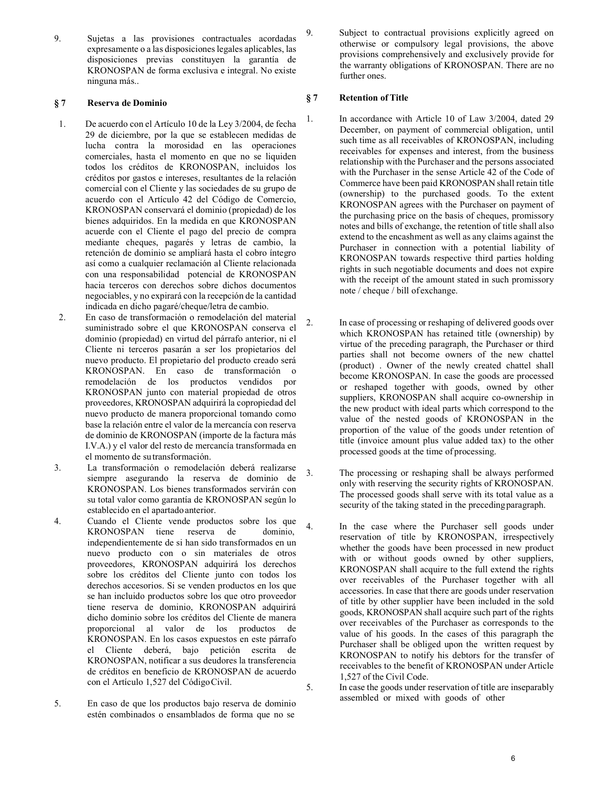9. Sujetas a las provisiones contractuales acordadas expresamente o a las disposiciones legales aplicables, las disposiciones previas constituyen la garantía de KRONOSPAN de forma exclusiva e integral. No existe ninguna más..

# § 7 Reserva de Dominio

- 1. De acuerdo con el Artículo 10 de la Ley 3/2004, de fecha 29 de diciembre, por la que se establecen medidas de lucha contra la morosidad en las operaciones comerciales, hasta el momento en que no se liquiden todos los créditos de KRONOSPAN, incluidos los créditos por gastos e intereses, resultantes de la relación comercial con el Cliente y las sociedades de su grupo de acuerdo con el Artículo 42 del Código de Comercio, KRONOSPAN conservará el dominio (propiedad) de los bienes adquiridos. En la medida en que KRONOSPAN acuerde con el Cliente el pago del precio de compra mediante cheques, pagarés y letras de cambio, la retención de dominio se ampliará hasta el cobro íntegro así como a cualquier reclamación al Cliente relacionada con una responsabilidad potencial de KRONOSPAN hacia terceros con derechos sobre dichos documentos negociables, y no expirará con la recepción de la cantidad indicada en dicho pagaré/cheque/letra de cambio.
- 2. En caso de transformación o remodelación del material suministrado sobre el que KRONOSPAN conserva el dominio (propiedad) en virtud del párrafo anterior, ni el Cliente ni terceros pasarán a ser los propietarios del nuevo producto. El propietario del producto creado será KRONOSPAN. En caso de transformación o remodelación de los productos vendidos por KRONOSPAN junto con material propiedad de otros proveedores, KRONOSPAN adquirirá la copropiedad del nuevo producto de manera proporcional tomando como base la relación entre el valor de la mercancía con reserva de dominio de KRONOSPAN (importe de la factura más I.V.A.) y el valor del resto de mercancía transformada en el momento de su transformación.
- 3. La transformación o remodelación deberá realizarse siempre asegurando la reserva de dominio de KRONOSPAN. Los bienes transformados servirán con su total valor como garantía de KRONOSPAN según lo establecido en el apartado anterior.
- 4. Cuando el Cliente vende productos sobre los que KRONOSPAN tiene reserva de dominio, independientemente de si han sido transformados en un nuevo producto con o sin materiales de otros proveedores, KRONOSPAN adquirirá los derechos sobre los créditos del Cliente junto con todos los derechos accesorios. Si se venden productos en los que se han incluido productos sobre los que otro proveedor tiene reserva de dominio, KRONOSPAN adquirirá dicho dominio sobre los créditos del Cliente de manera proporcional al valor de los productos de KRONOSPAN. En los casos expuestos en este párrafo el Cliente deberá, bajo petición escrita de KRONOSPAN, notificar a sus deudores la transferencia de créditos en beneficio de KRONOSPAN de acuerdo con el Artículo 1,527 del Código Civil.
- 5. En caso de que los productos bajo reserva de dominio estén combinados o ensamblados de forma que no se

9. Subject to contractual provisions explicitly agreed on otherwise or compulsory legal provisions, the above provisions comprehensively and exclusively provide for the warranty obligations of KRONOSPAN. There are no further ones.

# § 7 Retention of Title

- 1. In accordance with Article 10 of Law 3/2004, dated 29 December, on payment of commercial obligation, until such time as all receivables of KRONOSPAN, including receivables for expenses and interest, from the business relationship with the Purchaser and the persons associated with the Purchaser in the sense Article 42 of the Code of Commerce have been paid KRONOSPAN shall retain title (ownership) to the purchased goods. To the extent KRONOSPAN agrees with the Purchaser on payment of the purchasing price on the basis of cheques, promissory notes and bills of exchange, the retention of title shall also extend to the encashment as well as any claims against the Purchaser in connection with a potential liability of KRONOSPAN towards respective third parties holding rights in such negotiable documents and does not expire with the receipt of the amount stated in such promissory note / cheque / bill of exchange.
- 2. In case of processing or reshaping of delivered goods over which KRONOSPAN has retained title (ownership) by virtue of the preceding paragraph, the Purchaser or third parties shall not become owners of the new chattel (product) . Owner of the newly created chattel shall become KRONOSPAN. In case the goods are processed or reshaped together with goods, owned by other suppliers, KRONOSPAN shall acquire co-ownership in the new product with ideal parts which correspond to the value of the nested goods of KRONOSPAN in the proportion of the value of the goods under retention of title (invoice amount plus value added tax) to the other processed goods at the time of processing.
- 3. The processing or reshaping shall be always performed only with reserving the security rights of KRONOSPAN. The processed goods shall serve with its total value as a security of the taking stated in the preceding paragraph.
	- In the case where the Purchaser sell goods under reservation of title by KRONOSPAN, irrespectively whether the goods have been processed in new product with or without goods owned by other suppliers, KRONOSPAN shall acquire to the full extend the rights over receivables of the Purchaser together with all accessories. In case that there are goods under reservation of title by other supplier have been included in the sold goods, KRONOSPAN shall acquire such part of the rights over receivables of the Purchaser as corresponds to the value of his goods. In the cases of this paragraph the Purchaser shall be obliged upon the written request by KRONOSPAN to notify his debtors for the transfer of receivables to the benefit of KRONOSPAN under Article 1,527 of the Civil Code.
- 5. In case the goods under reservation of title are inseparably assembled or mixed with goods of other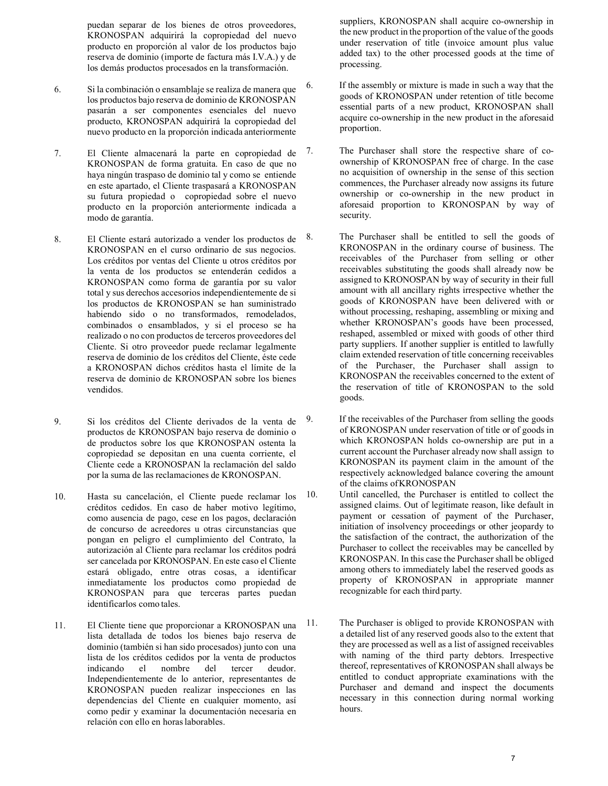puedan separar de los bienes de otros proveedores, KRONOSPAN adquirirá la copropiedad del nuevo producto en proporción al valor de los productos bajo reserva de dominio (importe de factura más I.V.A.) y de los demás productos procesados en la transformación.

- 6. Si la combinación o ensamblaje se realiza de manera que los productos bajo reserva de dominio de KRONOSPAN pasarán a ser componentes esenciales del nuevo producto, KRONOSPAN adquirirá la copropiedad del nuevo producto en la proporción indicada anteriormente
- 7. El Cliente almacenará la parte en copropiedad de KRONOSPAN de forma gratuita. En caso de que no haya ningún traspaso de dominio tal y como se entiende en este apartado, el Cliente traspasará a KRONOSPAN su futura propiedad o copropiedad sobre el nuevo producto en la proporción anteriormente indicada a modo de garantía.
- 8. El Cliente estará autorizado a vender los productos de KRONOSPAN en el curso ordinario de sus negocios. Los créditos por ventas del Cliente u otros créditos por la venta de los productos se entenderán cedidos a KRONOSPAN como forma de garantía por su valor total y sus derechos accesorios independientemente de si los productos de KRONOSPAN se han suministrado habiendo sido o no transformados, remodelados, combinados o ensamblados, y si el proceso se ha realizado o no con productos de terceros proveedores del Cliente. Si otro proveedor puede reclamar legalmente reserva de dominio de los créditos del Cliente, éste cede a KRONOSPAN dichos créditos hasta el límite de la reserva de dominio de KRONOSPAN sobre los bienes vendidos.
- 9. Si los créditos del Cliente derivados de la venta de productos de KRONOSPAN bajo reserva de dominio o de productos sobre los que KRONOSPAN ostenta la copropiedad se depositan en una cuenta corriente, el Cliente cede a KRONOSPAN la reclamación del saldo por la suma de las reclamaciones de KRONOSPAN.
- 10. Hasta su cancelación, el Cliente puede reclamar los créditos cedidos. En caso de haber motivo legítimo, como ausencia de pago, cese en los pagos, declaración de concurso de acreedores u otras circunstancias que pongan en peligro el cumplimiento del Contrato, la autorización al Cliente para reclamar los créditos podrá ser cancelada por KRONOSPAN. En este caso el Cliente estará obligado, entre otras cosas, a identificar inmediatamente los productos como propiedad de KRONOSPAN para que terceras partes puedan identificarlos como tales.
- 11. El Cliente tiene que proporcionar a KRONOSPAN una lista detallada de todos los bienes bajo reserva de dominio (también si han sido procesados) junto con una lista de los créditos cedidos por la venta de productos indicando el nombre del tercer deudor. Independientemente de lo anterior, representantes de KRONOSPAN pueden realizar inspecciones en las dependencias del Cliente en cualquier momento, así como pedir y examinar la documentación necesaria en relación con ello en horas laborables.

suppliers, KRONOSPAN shall acquire co-ownership in the new product in the proportion of the value of the goods under reservation of title (invoice amount plus value added tax) to the other processed goods at the time of processing.

- 6. If the assembly or mixture is made in such a way that the goods of KRONOSPAN under retention of title become essential parts of a new product, KRONOSPAN shall acquire co-ownership in the new product in the aforesaid proportion.
- 7. The Purchaser shall store the respective share of coownership of KRONOSPAN free of charge. In the case no acquisition of ownership in the sense of this section commences, the Purchaser already now assigns its future ownership or co-ownership in the new product in aforesaid proportion to KRONOSPAN by way of security.
- 8. The Purchaser shall be entitled to sell the goods of KRONOSPAN in the ordinary course of business. The receivables of the Purchaser from selling or other receivables substituting the goods shall already now be assigned to KRONOSPAN by way of security in their full amount with all ancillary rights irrespective whether the goods of KRONOSPAN have been delivered with or without processing, reshaping, assembling or mixing and whether KRONOSPAN's goods have been processed, reshaped, assembled or mixed with goods of other third party suppliers. If another supplier is entitled to lawfully claim extended reservation of title concerning receivables of the Purchaser, the Purchaser shall assign to KRONOSPAN the receivables concerned to the extent of the reservation of title of KRONOSPAN to the sold goods.

9. If the receivables of the Purchaser from selling the goods of KRONOSPAN under reservation of title or of goods in which KRONOSPAN holds co-ownership are put in a current account the Purchaser already now shall assign to KRONOSPAN its payment claim in the amount of the respectively acknowledged balance covering the amount of the claims of KRONOSPAN

- 10. Until cancelled, the Purchaser is entitled to collect the assigned claims. Out of legitimate reason, like default in payment or cessation of payment of the Purchaser, initiation of insolvency proceedings or other jeopardy to the satisfaction of the contract, the authorization of the Purchaser to collect the receivables may be cancelled by KRONOSPAN. In this case the Purchaser shall be obliged among others to immediately label the reserved goods as property of KRONOSPAN in appropriate manner recognizable for each third party.
- 11. The Purchaser is obliged to provide KRONOSPAN with a detailed list of any reserved goods also to the extent that they are processed as well as a list of assigned receivables with naming of the third party debtors. Irrespective thereof, representatives of KRONOSPAN shall always be entitled to conduct appropriate examinations with the Purchaser and demand and inspect the documents necessary in this connection during normal working hours.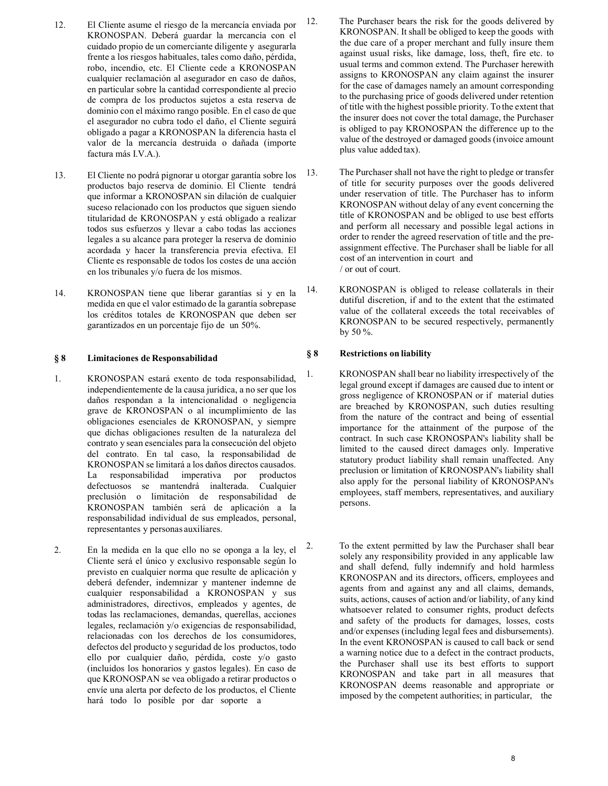- 12. El Cliente asume el riesgo de la mercancía enviada por KRONOSPAN. Deberá guardar la mercancía con el cuidado propio de un comerciante diligente y asegurarla frente a los riesgos habituales, tales como daño, pérdida, robo, incendio, etc. El Cliente cede a KRONOSPAN cualquier reclamación al asegurador en caso de daños, en particular sobre la cantidad correspondiente al precio de compra de los productos sujetos a esta reserva de dominio con el máximo rango posible. En el caso de que el asegurador no cubra todo el daño, el Cliente seguirá obligado a pagar a KRONOSPAN la diferencia hasta el valor de la mercancía destruida o dañada (importe factura más I.V.A.).
- 13. El Cliente no podrá pignorar u otorgar garantía sobre los productos bajo reserva de dominio. El Cliente tendrá que informar a KRONOSPAN sin dilación de cualquier suceso relacionado con los productos que siguen siendo titularidad de KRONOSPAN y está obligado a realizar todos sus esfuerzos y llevar a cabo todas las acciones legales a su alcance para proteger la reserva de dominio acordada y hacer la transferencia previa efectiva. El Cliente es responsable de todos los costes de una acción en los tribunales y/o fuera de los mismos.
- 14. KRONOSPAN tiene que liberar garantías si y en la medida en que el valor estimado de la garantía sobrepase los créditos totales de KRONOSPAN que deben ser garantizados en un porcentaje fijo de un 50%.

## § 8 Limitaciones de Responsabilidad

- 1. KRONOSPAN estará exento de toda responsabilidad, independientemente de la causa jurídica, a no ser que los daños respondan a la intencionalidad o negligencia grave de KRONOSPAN o al incumplimiento de las obligaciones esenciales de KRONOSPAN, y siempre que dichas obligaciones resulten de la naturaleza del contrato y sean esenciales para la consecución del objeto del contrato. En tal caso, la responsabilidad de KRONOSPAN se limitará a los daños directos causados. La responsabilidad imperativa por productos defectuosos se mantendrá inalterada. Cualquier preclusión o limitación de responsabilidad de KRONOSPAN también será de aplicación a la responsabilidad individual de sus empleados, personal, representantes y personas auxiliares.
- 2. En la medida en la que ello no se oponga a la ley, el Cliente será el único y exclusivo responsable según lo previsto en cualquier norma que resulte de aplicación y deberá defender, indemnizar y mantener indemne de cualquier responsabilidad a KRONOSPAN y sus administradores, directivos, empleados y agentes, de todas las reclamaciones, demandas, querellas, acciones legales, reclamación y/o exigencias de responsabilidad, relacionadas con los derechos de los consumidores, defectos del producto y seguridad de los productos, todo ello por cualquier daño, pérdida, coste y/o gasto (incluidos los honorarios y gastos legales). En caso de que KRONOSPAN se vea obligado a retirar productos o envíe una alerta por defecto de los productos, el Cliente hará todo lo posible por dar soporte a
- 12. The Purchaser bears the risk for the goods delivered by KRONOSPAN. It shall be obliged to keep the goods with the due care of a proper merchant and fully insure them against usual risks, like damage, loss, theft, fire etc. to usual terms and common extend. The Purchaser herewith assigns to KRONOSPAN any claim against the insurer for the case of damages namely an amount corresponding to the purchasing price of goods delivered under retention of title with the highest possible priority. To the extent that the insurer does not cover the total damage, the Purchaser is obliged to pay KRONOSPAN the difference up to the value of the destroyed or damaged goods (invoice amount plus value added tax).
- 13. The Purchaser shall not have the right to pledge or transfer of title for security purposes over the goods delivered under reservation of title. The Purchaser has to inform KRONOSPAN without delay of any event concerning the title of KRONOSPAN and be obliged to use best efforts and perform all necessary and possible legal actions in order to render the agreed reservation of title and the preassignment effective. The Purchaser shall be liable for all cost of an intervention in court and / or out of court.
- 14. KRONOSPAN is obliged to release collaterals in their dutiful discretion, if and to the extent that the estimated value of the collateral exceeds the total receivables of KRONOSPAN to be secured respectively, permanently by 50 %.

## § 8 Restrictions on liability

- 1. KRONOSPAN shall bear no liability irrespectively of the legal ground except if damages are caused due to intent or gross negligence of KRONOSPAN or if material duties are breached by KRONOSPAN, such duties resulting from the nature of the contract and being of essential importance for the attainment of the purpose of the contract. In such case KRONOSPAN's liability shall be limited to the caused direct damages only. Imperative statutory product liability shall remain unaffected. Any preclusion or limitation of KRONOSPAN's liability shall also apply for the personal liability of KRONOSPAN's employees, staff members, representatives, and auxiliary persons.
- 2. To the extent permitted by law the Purchaser shall bear solely any responsibility provided in any applicable law and shall defend, fully indemnify and hold harmless KRONOSPAN and its directors, officers, employees and agents from and against any and all claims, demands, suits, actions, causes of action and/or liability, of any kind whatsoever related to consumer rights, product defects and safety of the products for damages, losses, costs and/or expenses (including legal fees and disbursements). In the event KRONOSPAN is caused to call back or send a warning notice due to a defect in the contract products, the Purchaser shall use its best efforts to support KRONOSPAN and take part in all measures that KRONOSPAN deems reasonable and appropriate or imposed by the competent authorities; in particular, the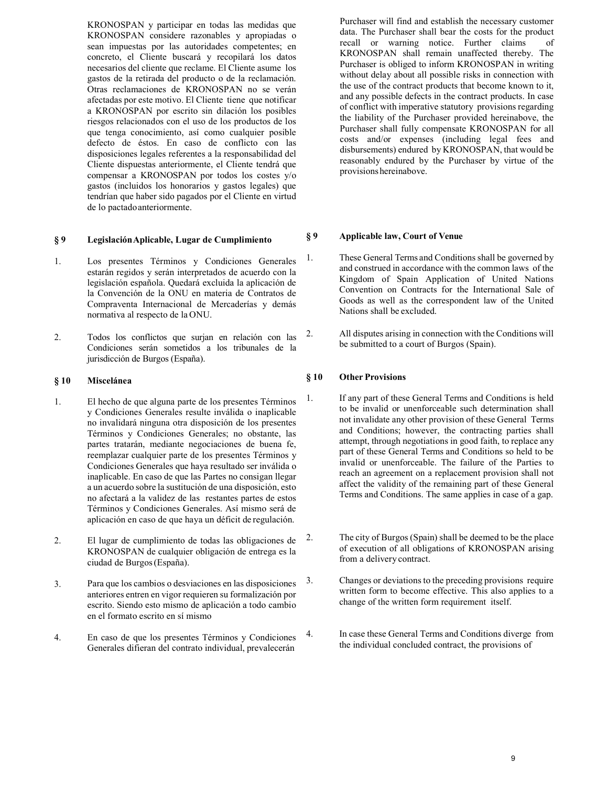KRONOSPAN y participar en todas las medidas que KRONOSPAN considere razonables y apropiadas o sean impuestas por las autoridades competentes; en concreto, el Cliente buscará y recopilará los datos necesarios del cliente que reclame. El Cliente asume los gastos de la retirada del producto o de la reclamación. Otras reclamaciones de KRONOSPAN no se verán afectadas por este motivo. El Cliente tiene que notificar a KRONOSPAN por escrito sin dilación los posibles riesgos relacionados con el uso de los productos de los que tenga conocimiento, así como cualquier posible defecto de éstos. En caso de conflicto con las disposiciones legales referentes a la responsabilidad del Cliente dispuestas anteriormente, el Cliente tendrá que compensar a KRONOSPAN por todos los costes y/o gastos (incluidos los honorarios y gastos legales) que tendrían que haber sido pagados por el Cliente en virtud de lo pactado anteriormente.

# § 9 Legislación Aplicable, Lugar de Cumplimiento

- 1. Los presentes Términos y Condiciones Generales estarán regidos y serán interpretados de acuerdo con la legislación española. Quedará excluida la aplicación de la Convención de la ONU en materia de Contratos de Compraventa Internacional de Mercaderías y demás normativa al respecto de la ONU.
- 2. Todos los conflictos que surjan en relación con las Condiciones serán sometidos a los tribunales de la jurisdicción de Burgos (España).

## § 10 Miscelánea

- 1. El hecho de que alguna parte de los presentes Términos y Condiciones Generales resulte inválida o inaplicable no invalidará ninguna otra disposición de los presentes Términos y Condiciones Generales; no obstante, las partes tratarán, mediante negociaciones de buena fe, reemplazar cualquier parte de los presentes Términos y Condiciones Generales que haya resultado ser inválida o inaplicable. En caso de que las Partes no consigan llegar a un acuerdo sobre la sustitución de una disposición, esto no afectará a la validez de las restantes partes de estos Términos y Condiciones Generales. Así mismo será de aplicación en caso de que haya un déficit de regulación.
- 2. El lugar de cumplimiento de todas las obligaciones de KRONOSPAN de cualquier obligación de entrega es la ciudad de Burgos (España).
- 3. Para que los cambios o desviaciones en las disposiciones anteriores entren en vigor requieren su formalización por escrito. Siendo esto mismo de aplicación a todo cambio en el formato escrito en sí mismo
- 4. En caso de que los presentes Términos y Condiciones Generales difieran del contrato individual, prevalecerán

Purchaser will find and establish the necessary customer data. The Purchaser shall bear the costs for the product recall or warning notice. Further claims of KRONOSPAN shall remain unaffected thereby. The Purchaser is obliged to inform KRONOSPAN in writing without delay about all possible risks in connection with the use of the contract products that become known to it, and any possible defects in the contract products. In case of conflict with imperative statutory provisions regarding the liability of the Purchaser provided hereinabove, the Purchaser shall fully compensate KRONOSPAN for all costs and/or expenses (including legal fees and disbursements) endured by KRONOSPAN, that would be reasonably endured by the Purchaser by virtue of the provisions hereinabove.

## § 9 Applicable law, Court of Venue

- 1. These General Terms and Conditions shall be governed by and construed in accordance with the common laws of the Kingdom of Spain Application of United Nations Convention on Contracts for the International Sale of Goods as well as the correspondent law of the United Nations shall be excluded.
- 2. All disputes arising in connection with the Conditions will be submitted to a court of Burgos (Spain).

## § 10 Other Provisions

- 1. If any part of these General Terms and Conditions is held to be invalid or unenforceable such determination shall not invalidate any other provision of these General Terms and Conditions; however, the contracting parties shall attempt, through negotiations in good faith, to replace any part of these General Terms and Conditions so held to be invalid or unenforceable. The failure of the Parties to reach an agreement on a replacement provision shall not affect the validity of the remaining part of these General Terms and Conditions. The same applies in case of a gap.
- 2. The city of Burgos (Spain) shall be deemed to be the place of execution of all obligations of KRONOSPAN arising from a delivery contract.
- 3. Changes or deviations to the preceding provisions require written form to become effective. This also applies to a change of the written form requirement itself.
- 4. In case these General Terms and Conditions diverge from the individual concluded contract, the provisions of